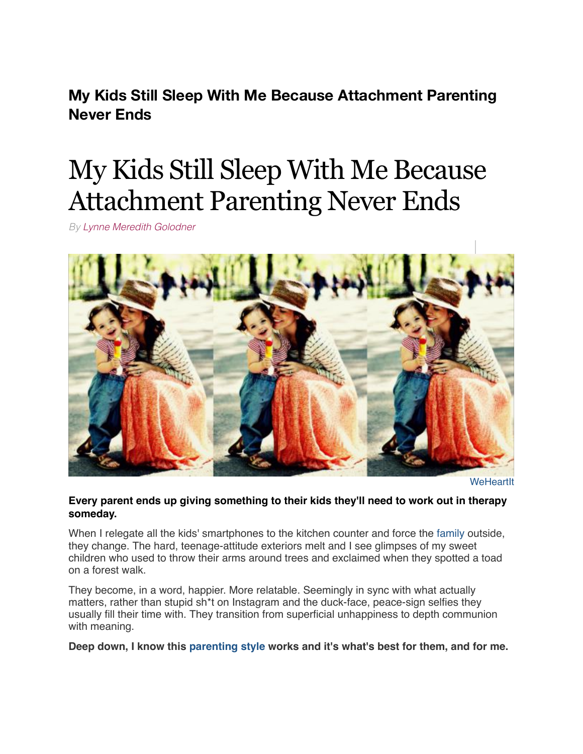**My Kids Still Sleep With Me Because Attachment Parenting Never Ends**

# My Kids Still Sleep With Me Because Attachment Parenting Never Ends

*By [Lynne Meredith Golodner](http://www.yourtango.com/users/lynne-meredith-golodner)*



**[WeHeartIt](http://weheartit.com/entry/60639194/)** 

# **Every parent ends up giving something to their kids they'll need to work out in therapy someday.**

When I relegate all the kids' smartphones to the kitchen counter and force the [family](http://www.yourtango.com/taxonomy/term/33399) outside, they change. The hard, teenage-attitude exteriors melt and I see glimpses of my sweet children who used to throw their arms around trees and exclaimed when they spotted a toad on a forest walk.

They become, in a word, happier. More relatable. Seemingly in sync with what actually matters, rather than stupid sh\*t on Instagram and the duck-face, peace-sign selfies they usually fill their time with. They transition from superficial unhappiness to depth communion with meaning.

**Deep down, I know this [parenting style](http://www.yourtango.com/experts/lois-muir-mcclain/parenting-styles-whats-all-fuss) works and it's what's best for them, and for me.**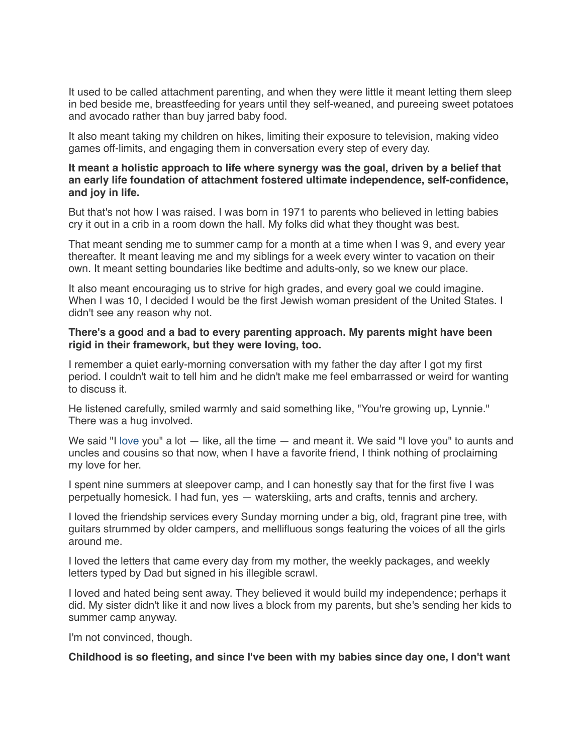It used to be called attachment parenting, and when they were little it meant letting them sleep in bed beside me, breastfeeding for years until they self-weaned, and pureeing sweet potatoes and avocado rather than buy jarred baby food.

It also meant taking my children on hikes, limiting their exposure to television, making video games off-limits, and engaging them in conversation every step of every day.

#### **It meant a holistic approach to life where synergy was the goal, driven by a belief that an early life foundation of attachment fostered ultimate independence, self-confidence, and joy in life.**

But that's not how I was raised. I was born in 1971 to parents who believed in letting babies cry it out in a crib in a room down the hall. My folks did what they thought was best.

That meant sending me to summer camp for a month at a time when I was 9, and every year thereafter. It meant leaving me and my siblings for a week every winter to vacation on their own. It meant setting boundaries like bedtime and adults-only, so we knew our place.

It also meant encouraging us to strive for high grades, and every goal we could imagine. When I was 10, I decided I would be the first Jewish woman president of the United States. I didn't see any reason why not.

#### **There's a good and a bad to every parenting approach. My parents might have been rigid in their framework, but they were loving, too.**

I remember a quiet early-morning conversation with my father the day after I got my first period. I couldn't wait to tell him and he didn't make me feel embarrassed or weird for wanting to discuss it.

He listened carefully, smiled warmly and said something like, "You're growing up, Lynnie." There was a hug involved.

We said "I [love](http://www.yourtango.com/love) you" a lot  $-$  like, all the time  $-$  and meant it. We said "I love you" to aunts and uncles and cousins so that now, when I have a favorite friend, I think nothing of proclaiming my love for her.

I spent nine summers at sleepover camp, and I can honestly say that for the first five I was perpetually homesick. I had fun, yes — waterskiing, arts and crafts, tennis and archery.

I loved the friendship services every Sunday morning under a big, old, fragrant pine tree, with guitars strummed by older campers, and mellifluous songs featuring the voices of all the girls around me.

I loved the letters that came every day from my mother, the weekly packages, and weekly letters typed by Dad but signed in his illegible scrawl.

I loved and hated being sent away. They believed it would build my independence; perhaps it did. My sister didn't like it and now lives a block from my parents, but she's sending her kids to summer camp anyway.

I'm not convinced, though.

**Childhood is so fleeting, and since I've been with my babies since day one, I don't want**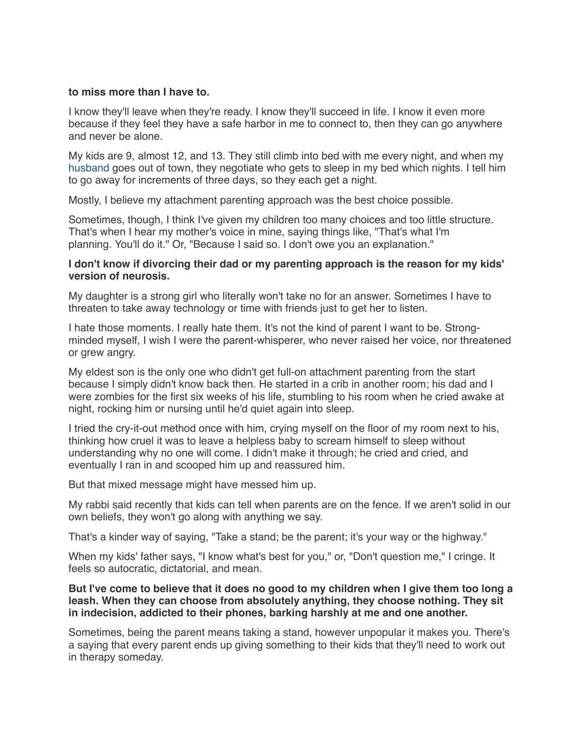#### **to miss more than I have to.**

I know they'll leave when they're ready. I know they'll succeed in life. I know it even more because if they feel they have a safe harbor in me to connect to, then they can go anywhere and never be alone.

My kids are 9, almost 12, and 13. They still climb into bed with me every night, and when my [husband](http://www.yourtango.com/2013197121/marriage-i-put-my-husband-my-child) goes out of town, they negotiate who gets to sleep in my bed which nights. I tell him to go away for increments of three days, so they each get a night.

Mostly, I believe my attachment parenting approach was the best choice possible.

Sometimes, though, I think I've given my children too many choices and too little structure. That's when I hear my mother's voice in mine, saying things like, "That's what I'm planning. You'll do it." Or, "Because I said so. I don't owe you an explanation."

## **I don't know if divorcing their dad or my parenting approach is the reason for my kids' version of neurosis.**

My daughter is a strong girl who literally won't take no for an answer. Sometimes I have to threaten to take away technology or time with friends just to get her to listen.

I hate those moments. I really hate them. It's not the kind of parent I want to be. Strongminded myself, I wish I were the parent-whisperer, who never raised her voice, nor threatened or grew angry.

My eldest son is the only one who didn't get full-on attachment parenting from the start because I simply didn't know back then. He started in a crib in another room; his dad and I were zombies for the first six weeks of his life, stumbling to his room when he cried awake at night, rocking him or nursing until he'd quiet again into sleep.

I tried the cry-it-out method once with him, crying myself on the floor of my room next to his, thinking how cruel it was to leave a helpless baby to scream himself to sleep without understanding why no one will come. I didn't make it through; he cried and cried, and eventually I ran in and scooped him up and reassured him.

But that mixed message might have messed him up.

My rabbi said recently that kids can tell when parents are on the fence. If we aren't solid in our own beliefs, they won't go along with anything we say.

That's a kinder way of saying, "Take a stand; be the parent; it's your way or the highway."

When my kids' father says, "I know what's best for you," or, "Don't question me," I cringe. It feels so autocratic, dictatorial, and mean.

### **But I've come to believe that it does no good to my children when I give them too long a leash. When they can choose from absolutely anything, they choose nothing. They sit in indecision, addicted to their phones, barking harshly at me and one another.**

Sometimes, being the parent means taking a stand, however unpopular it makes you. There's a saying that every parent ends up giving something to their kids that they'll need to work out in therapy someday.